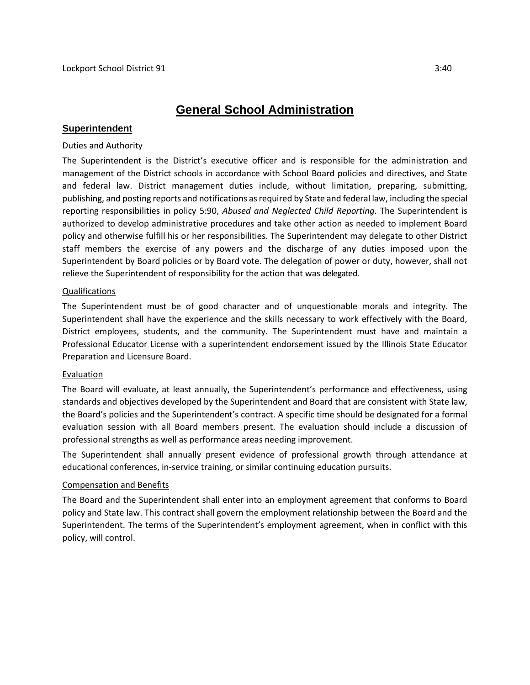# **General School Administration**

## **Superintendent**

## Duties and Authority

The Superintendent is the District's executive officer and is responsible for the administration and management of the District schools in accordance with School Board policies and directives, and State and federal law. District management duties include, without limitation, preparing, submitting, publishing, and posting reports and notifications as required by State and federal law, including the special reporting responsibilities in policy 5:90, *Abused and Neglected Child Reporting*. The Superintendent is authorized to develop administrative procedures and take other action as needed to implement Board policy and otherwise fulfill his or her responsibilities. The Superintendent may delegate to other District staff members the exercise of any powers and the discharge of any duties imposed upon the Superintendent by Board policies or by Board vote. The delegation of power or duty, however, shall not relieve the Superintendent of responsibility for the action that was delegated.

### Qualifications

The Superintendent must be of good character and of unquestionable morals and integrity. The Superintendent shall have the experience and the skills necessary to work effectively with the Board, District employees, students, and the community. The Superintendent must have and maintain a Professional Educator License with a superintendent endorsement issued by the Illinois State Educator Preparation and Licensure Board.

#### Evaluation

The Board will evaluate, at least annually, the Superintendent's performance and effectiveness, using standards and objectives developed by the Superintendent and Board that are consistent with State law, the Board's policies and the Superintendent's contract. A specific time should be designated for a formal evaluation session with all Board members present. The evaluation should include a discussion of professional strengths as well as performance areas needing improvement.

The Superintendent shall annually present evidence of professional growth through attendance at educational conferences, in-service training, or similar continuing education pursuits.

## Compensation and Benefits

The Board and the Superintendent shall enter into an employment agreement that conforms to Board policy and State law. This contract shall govern the employment relationship between the Board and the Superintendent. The terms of the Superintendent's employment agreement, when in conflict with this policy, will control.